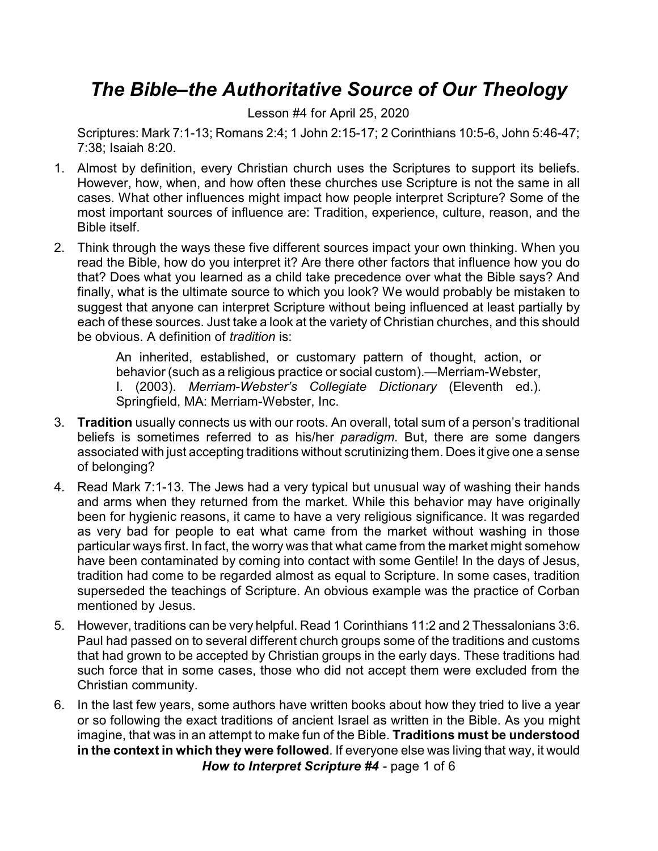## *The Bible–the Authoritative Source of Our Theology*

Lesson #4 for April 25, 2020

Scriptures: Mark 7:1-13; Romans 2:4; 1 John 2:15-17; 2 Corinthians 10:5-6, John 5:46-47; 7:38; Isaiah 8:20.

- 1. Almost by definition, every Christian church uses the Scriptures to support its beliefs. However, how, when, and how often these churches use Scripture is not the same in all cases. What other influences might impact how people interpret Scripture? Some of the most important sources of influence are: Tradition, experience, culture, reason, and the Bible itself.
- 2. Think through the ways these five different sources impact your own thinking. When you read the Bible, how do you interpret it? Are there other factors that influence how you do that? Does what you learned as a child take precedence over what the Bible says? And finally, what is the ultimate source to which you look? We would probably be mistaken to suggest that anyone can interpret Scripture without being influenced at least partially by each of these sources. Just take a look at the variety of Christian churches, and this should be obvious. A definition of *tradition* is:

An inherited, established, or customary pattern of thought, action, or behavior (such as a religious practice or social custom).—Merriam-Webster, I. (2003). *Merriam-Webster's Collegiate Dictionary* (Eleventh ed.). Springfield, MA: Merriam-Webster, Inc.

- 3. **Tradition** usually connects us with our roots. An overall, total sum of a person's traditional beliefs is sometimes referred to as his/her *paradigm*. But, there are some dangers associated with just accepting traditions without scrutinizing them. Does it give one a sense of belonging?
- 4. Read Mark 7:1-13. The Jews had a very typical but unusual way of washing their hands and arms when they returned from the market. While this behavior may have originally been for hygienic reasons, it came to have a very religious significance. It was regarded as very bad for people to eat what came from the market without washing in those particular ways first. In fact, the worry was that what came from the market might somehow have been contaminated by coming into contact with some Gentile! In the days of Jesus, tradition had come to be regarded almost as equal to Scripture. In some cases, tradition superseded the teachings of Scripture. An obvious example was the practice of Corban mentioned by Jesus.
- 5. However, traditions can be very helpful. Read 1 Corinthians 11:2 and 2 Thessalonians 3:6. Paul had passed on to several different church groups some of the traditions and customs that had grown to be accepted by Christian groups in the early days. These traditions had such force that in some cases, those who did not accept them were excluded from the Christian community.
- 6. In the last few years, some authors have written books about how they tried to live a year or so following the exact traditions of ancient Israel as written in the Bible. As you might imagine, that was in an attempt to make fun of the Bible. **Traditions must be understood in the context in which they were followed**. If everyone else was living that way, it would *How to Interpret Scripture #4* - page 1 of 6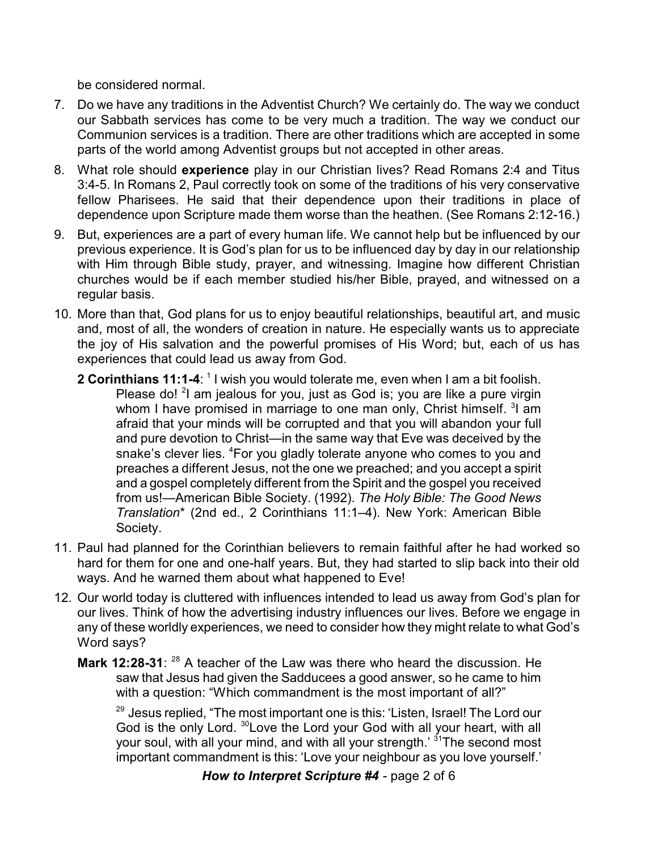be considered normal.

- 7. Do we have any traditions in the Adventist Church? We certainly do. The way we conduct our Sabbath services has come to be very much a tradition. The way we conduct our Communion services is a tradition. There are other traditions which are accepted in some parts of the world among Adventist groups but not accepted in other areas.
- 8. What role should **experience** play in our Christian lives? Read Romans 2:4 and Titus 3:4-5. In Romans 2, Paul correctly took on some of the traditions of his very conservative fellow Pharisees. He said that their dependence upon their traditions in place of dependence upon Scripture made them worse than the heathen. (See Romans 2:12-16.)
- 9. But, experiences are a part of every human life. We cannot help but be influenced by our previous experience. It is God's plan for us to be influenced day by day in our relationship with Him through Bible study, prayer, and witnessing. Imagine how different Christian churches would be if each member studied his/her Bible, prayed, and witnessed on a regular basis.
- 10. More than that, God plans for us to enjoy beautiful relationships, beautiful art, and music and, most of all, the wonders of creation in nature. He especially wants us to appreciate the joy of His salvation and the powerful promises of His Word; but, each of us has experiences that could lead us away from God.
	- 2 Corinthians 11:1-4: <sup>1</sup> I wish you would tolerate me, even when I am a bit foolish. Please do! <sup>2</sup>I am jealous for you, just as God is; you are like a pure virgin whom I have promised in marriage to one man only, Christ himself. <sup>3</sup>I am afraid that your minds will be corrupted and that you will abandon your full and pure devotion to Christ—in the same way that Eve was deceived by the snake's clever lies. <sup>4</sup>For you gladly tolerate anyone who comes to you and preaches a different Jesus, not the one we preached; and you accept a spirit and a gospel completely different from the Spirit and the gospel you received from us!—American Bible Society. (1992). *The Holy Bible: The Good News Translation*\* (2nd ed., 2 Corinthians 11:1–4). New York: American Bible Society.
- 11. Paul had planned for the Corinthian believers to remain faithful after he had worked so hard for them for one and one-half years. But, they had started to slip back into their old ways. And he warned them about what happened to Eve!
- 12. Our world today is cluttered with influences intended to lead us away from God's plan for our lives. Think of how the advertising industry influences our lives. Before we engage in any of these worldly experiences, we need to consider how they might relate to what God's Word says?
	- Mark 12:28-31: <sup>28</sup> A teacher of the Law was there who heard the discussion. He saw that Jesus had given the Sadducees a good answer, so he came to him with a question: "Which commandment is the most important of all?"

 $^{\rm 29}$  Jesus replied, "The most important one is this: 'Listen, Israel! The Lord our God is the only Lord. <sup>30</sup>Love the Lord your God with all your heart, with all your soul, with all your mind, and with all your strength.' <sup>31</sup>The second most important commandment is this: 'Love your neighbour as you love yourself.'

*How to Interpret Scripture #4* - page 2 of 6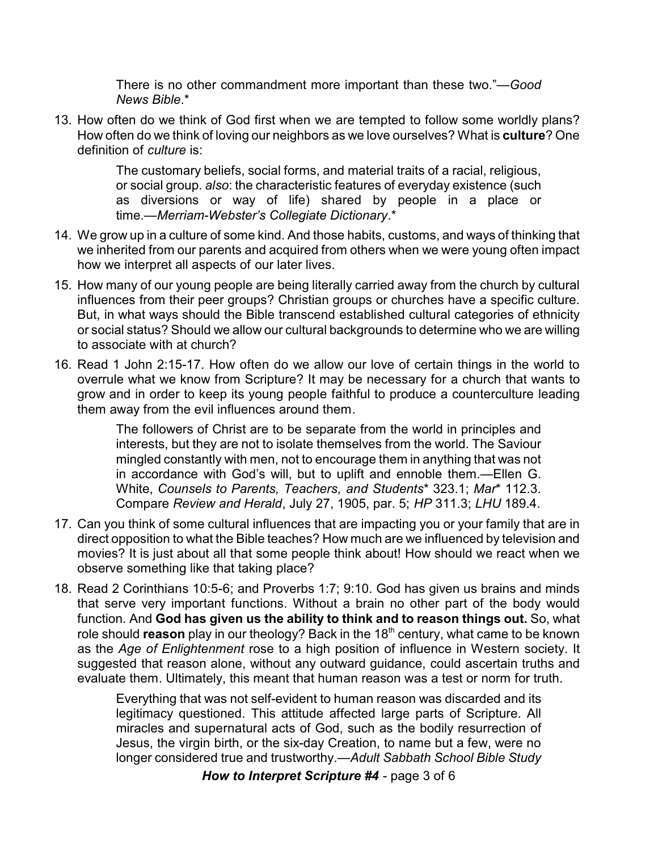There is no other commandment more important than these two."—*Good News Bible*.\*

13. How often do we think of God first when we are tempted to follow some worldly plans? How often do we think of loving our neighbors as we love ourselves? What is **culture**? One definition of *culture* is:

> The customary beliefs, social forms, and material traits of a racial, religious, or social group. *also*: the characteristic features of everyday existence (such as diversions or way of life) shared by people in a place or time.—*Merriam-Webster's Collegiate Dictionary*.\*

- 14. We grow up in a culture of some kind. And those habits, customs, and ways of thinking that we inherited from our parents and acquired from others when we were young often impact how we interpret all aspects of our later lives.
- 15. How many of our young people are being literally carried away from the church by cultural influences from their peer groups? Christian groups or churches have a specific culture. But, in what ways should the Bible transcend established cultural categories of ethnicity or social status? Should we allow our cultural backgrounds to determine who we are willing to associate with at church?
- 16. Read 1 John 2:15-17. How often do we allow our love of certain things in the world to overrule what we know from Scripture? It may be necessary for a church that wants to grow and in order to keep its young people faithful to produce a counterculture leading them away from the evil influences around them.

The followers of Christ are to be separate from the world in principles and interests, but they are not to isolate themselves from the world. The Saviour mingled constantly with men, not to encourage them in anything that was not in accordance with God's will, but to uplift and ennoble them.—Ellen G. White, *Counsels to Parents, Teachers, and Students*\* 323.1; *Mar*\* 112.3. Compare *Review and Herald*, July 27, 1905, par. 5; *HP* 311.3; *LHU* 189.4.

- 17. Can you think of some cultural influences that are impacting you or your family that are in direct opposition to what the Bible teaches? How much are we influenced by television and movies? It is just about all that some people think about! How should we react when we observe something like that taking place?
- 18. Read 2 Corinthians 10:5-6; and Proverbs 1:7; 9:10. God has given us brains and minds that serve very important functions. Without a brain no other part of the body would function. And **God has given us the ability to think and to reason things out.** So, what role should **reason** play in our theology? Back in the 18<sup>th</sup> century, what came to be known as the *Age of Enlightenment* rose to a high position of influence in Western society. It suggested that reason alone, without any outward guidance, could ascertain truths and evaluate them. Ultimately, this meant that human reason was a test or norm for truth.

Everything that was not self-evident to human reason was discarded and its legitimacy questioned. This attitude affected large parts of Scripture. All miracles and supernatural acts of God, such as the bodily resurrection of Jesus, the virgin birth, or the six-day Creation, to name but a few, were no longer considered true and trustworthy.—*Adult Sabbath School Bible Study*

*How to Interpret Scripture #4* - page 3 of 6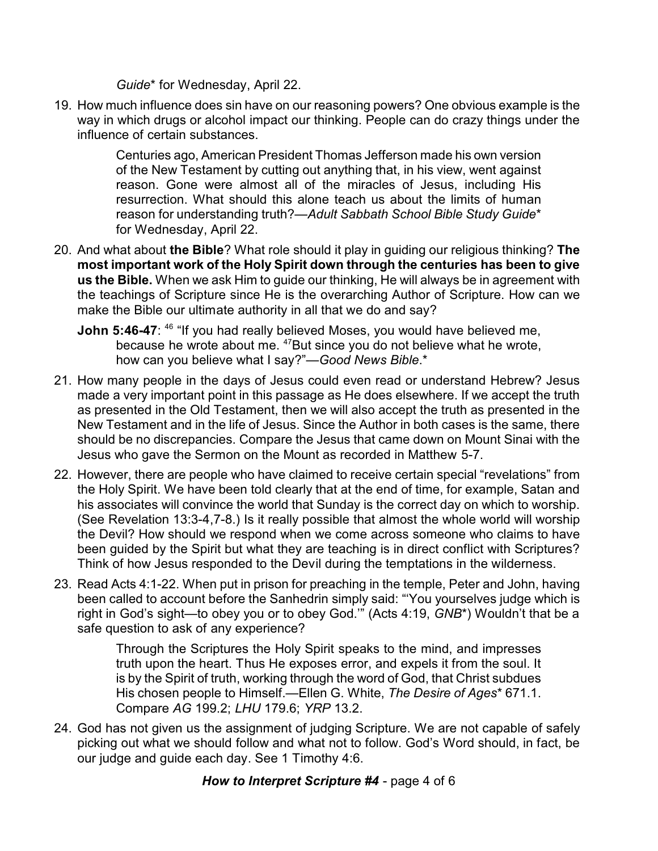*Guide*\* for Wednesday, April 22.

19. How much influence does sin have on our reasoning powers? One obvious example is the way in which drugs or alcohol impact our thinking. People can do crazy things under the influence of certain substances.

> Centuries ago, American President Thomas Jefferson made his own version of the New Testament by cutting out anything that, in his view, went against reason. Gone were almost all of the miracles of Jesus, including His resurrection. What should this alone teach us about the limits of human reason for understanding truth?—*Adult Sabbath School Bible Study Guide*\* for Wednesday, April 22.

- 20. And what about **the Bible**? What role should it play in guiding our religious thinking? **The most important work of the Holy Spirit down through the centuries has been to give us the Bible.** When we ask Him to guide our thinking, He will always be in agreement with the teachings of Scripture since He is the overarching Author of Scripture. How can we make the Bible our ultimate authority in all that we do and say?
	- **John 5:46-47**: <sup>46</sup> "If you had really believed Moses, you would have believed me, because he wrote about me. <sup>47</sup>But since you do not believe what he wrote, how can you believe what I say?"—*Good News Bible*.\*
- 21. How many people in the days of Jesus could even read or understand Hebrew? Jesus made a very important point in this passage as He does elsewhere. If we accept the truth as presented in the Old Testament, then we will also accept the truth as presented in the New Testament and in the life of Jesus. Since the Author in both cases is the same, there should be no discrepancies. Compare the Jesus that came down on Mount Sinai with the Jesus who gave the Sermon on the Mount as recorded in Matthew 5-7.
- 22. However, there are people who have claimed to receive certain special "revelations" from the Holy Spirit. We have been told clearly that at the end of time, for example, Satan and his associates will convince the world that Sunday is the correct day on which to worship. (See Revelation 13:3-4,7-8.) Is it really possible that almost the whole world will worship the Devil? How should we respond when we come across someone who claims to have been guided by the Spirit but what they are teaching is in direct conflict with Scriptures? Think of how Jesus responded to the Devil during the temptations in the wilderness.
- 23. Read Acts 4:1-22. When put in prison for preaching in the temple, Peter and John, having been called to account before the Sanhedrin simply said: "'You yourselves judge which is right in God's sight—to obey you or to obey God.'" (Acts 4:19, *GNB*\*) Wouldn't that be a safe question to ask of any experience?

Through the Scriptures the Holy Spirit speaks to the mind, and impresses truth upon the heart. Thus He exposes error, and expels it from the soul. It is by the Spirit of truth, working through the word of God, that Christ subdues His chosen people to Himself.—Ellen G. White, *The Desire of Ages*\* 671.1. Compare *AG* 199.2; *LHU* 179.6; *YRP* 13.2.

24. God has not given us the assignment of judging Scripture. We are not capable of safely picking out what we should follow and what not to follow. God's Word should, in fact, be our judge and guide each day. See 1 Timothy 4:6.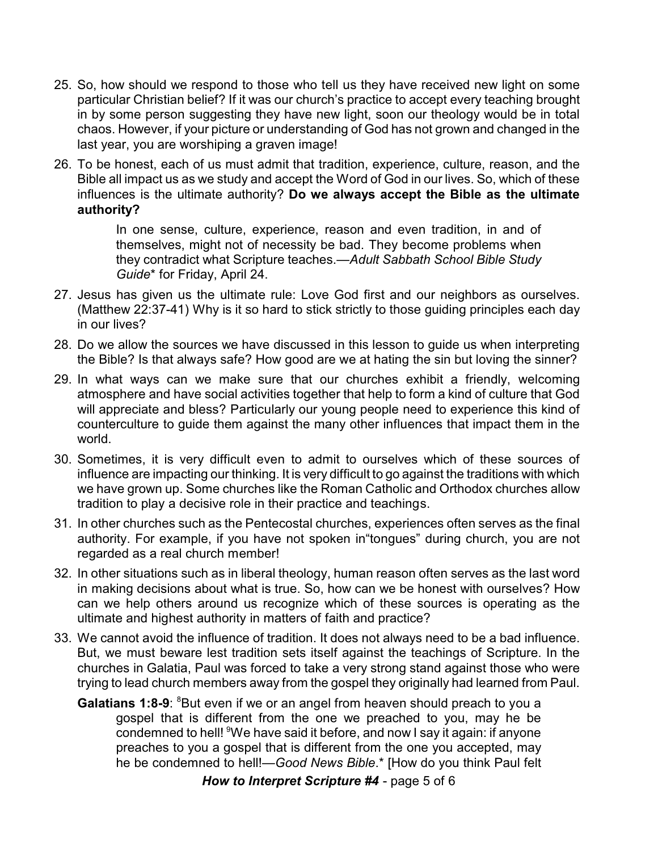- 25. So, how should we respond to those who tell us they have received new light on some particular Christian belief? If it was our church's practice to accept every teaching brought in by some person suggesting they have new light, soon our theology would be in total chaos. However, if your picture or understanding of God has not grown and changed in the last year, you are worshiping a graven image!
- 26. To be honest, each of us must admit that tradition, experience, culture, reason, and the Bible all impact us as we study and accept the Word of God in our lives. So, which of these influences is the ultimate authority? **Do we always accept the Bible as the ultimate authority?**

In one sense, culture, experience, reason and even tradition, in and of themselves, might not of necessity be bad. They become problems when they contradict what Scripture teaches.—*Adult Sabbath School Bible Study Guide*\* for Friday, April 24.

- 27. Jesus has given us the ultimate rule: Love God first and our neighbors as ourselves. (Matthew 22:37-41) Why is it so hard to stick strictly to those guiding principles each day in our lives?
- 28. Do we allow the sources we have discussed in this lesson to guide us when interpreting the Bible? Is that always safe? How good are we at hating the sin but loving the sinner?
- 29. In what ways can we make sure that our churches exhibit a friendly, welcoming atmosphere and have social activities together that help to form a kind of culture that God will appreciate and bless? Particularly our young people need to experience this kind of counterculture to guide them against the many other influences that impact them in the world.
- 30. Sometimes, it is very difficult even to admit to ourselves which of these sources of influence are impacting our thinking. It is very difficult to go against the traditions with which we have grown up. Some churches like the Roman Catholic and Orthodox churches allow tradition to play a decisive role in their practice and teachings.
- 31. In other churches such as the Pentecostal churches, experiences often serves as the final authority. For example, if you have not spoken in"tongues" during church, you are not regarded as a real church member!
- 32. In other situations such as in liberal theology, human reason often serves as the last word in making decisions about what is true. So, how can we be honest with ourselves? How can we help others around us recognize which of these sources is operating as the ultimate and highest authority in matters of faith and practice?
- 33. We cannot avoid the influence of tradition. It does not always need to be a bad influence. But, we must beware lest tradition sets itself against the teachings of Scripture. In the churches in Galatia, Paul was forced to take a very strong stand against those who were trying to lead church members away from the gospel they originally had learned from Paul.
	- **Galatians 1:8-9:** <sup>8</sup>But even if we or an angel from heaven should preach to you a gospel that is different from the one we preached to you, may he be condemned to hell! <sup>9</sup>We have said it before, and now I say it again: if anyone preaches to you a gospel that is different from the one you accepted, may he be condemned to hell!—*Good News Bible*.\* [How do you think Paul felt